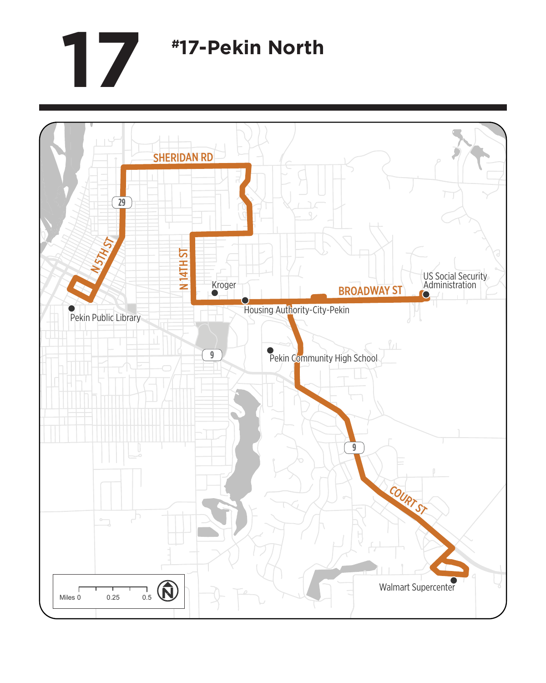## **17 #17-Pekin North**